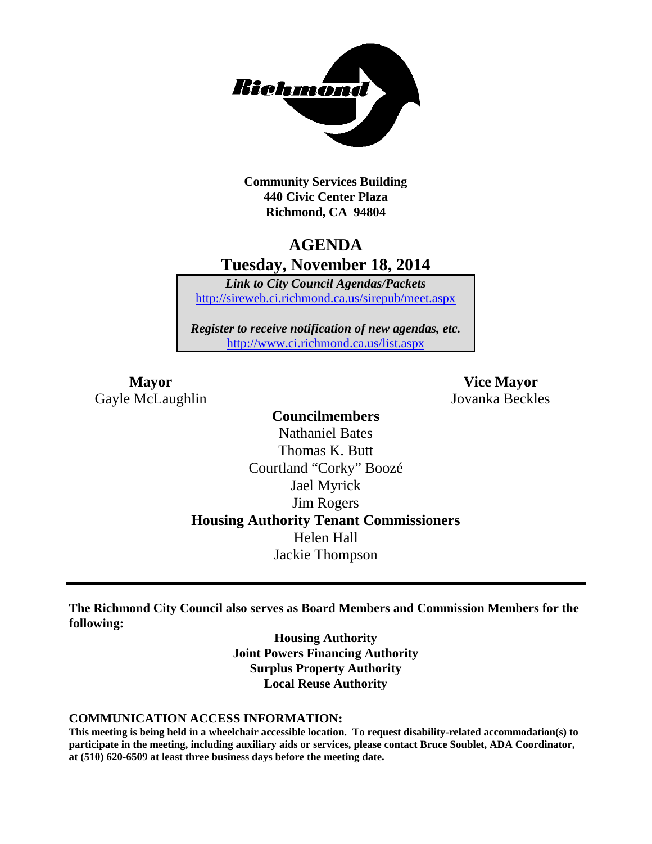

**Community Services Building 440 Civic Center Plaza Richmond, CA 94804**

# **AGENDA Tuesday, November 18, 2014**

*Link to City Council Agendas/Packets* <http://sireweb.ci.richmond.ca.us/sirepub/meet.aspx>

*Register to receive notification of new agendas, etc.* <http://www.ci.richmond.ca.us/list.aspx>

Gayle McLaughlin Jovanka Beckles

**Mayor Vice Mayor**

**Councilmembers** Nathaniel Bates Thomas K. Butt Courtland "Corky" Boozé Jael Myrick Jim Rogers **Housing Authority Tenant Commissioners** Helen Hall Jackie Thompson

**The Richmond City Council also serves as Board Members and Commission Members for the following:**

> **Housing Authority Joint Powers Financing Authority Surplus Property Authority Local Reuse Authority**

#### **COMMUNICATION ACCESS INFORMATION:**

**This meeting is being held in a wheelchair accessible location. To request disability-related accommodation(s) to participate in the meeting, including auxiliary aids or services, please contact Bruce Soublet, ADA Coordinator, at (510) 620-6509 at least three business days before the meeting date.**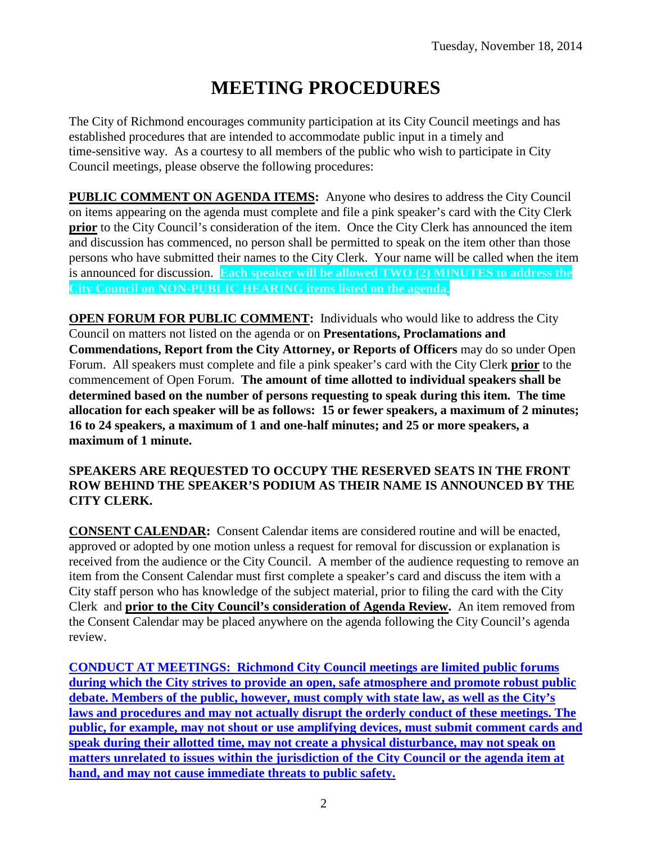# **MEETING PROCEDURES**

The City of Richmond encourages community participation at its City Council meetings and has established procedures that are intended to accommodate public input in a timely and time-sensitive way. As a courtesy to all members of the public who wish to participate in City Council meetings, please observe the following procedures:

**PUBLIC COMMENT ON AGENDA ITEMS:** Anyone who desires to address the City Council on items appearing on the agenda must complete and file a pink speaker's card with the City Clerk **prior** to the City Council's consideration of the item. Once the City Clerk has announced the item and discussion has commenced, no person shall be permitted to speak on the item other than those persons who have submitted their names to the City Clerk. Your name will be called when the item is announced for discussion. **Each speaker will be allowed TWO (2) MINUTES to address the City Council on NON-PUBLIC HEARING items listed on the agenda.**

**OPEN FORUM FOR PUBLIC COMMENT:** Individuals who would like to address the City Council on matters not listed on the agenda or on **Presentations, Proclamations and Commendations, Report from the City Attorney, or Reports of Officers** may do so under Open Forum. All speakers must complete and file a pink speaker's card with the City Clerk **prior** to the commencement of Open Forum. **The amount of time allotted to individual speakers shall be determined based on the number of persons requesting to speak during this item. The time allocation for each speaker will be as follows: 15 or fewer speakers, a maximum of 2 minutes; 16 to 24 speakers, a maximum of 1 and one-half minutes; and 25 or more speakers, a maximum of 1 minute.**

#### **SPEAKERS ARE REQUESTED TO OCCUPY THE RESERVED SEATS IN THE FRONT ROW BEHIND THE SPEAKER'S PODIUM AS THEIR NAME IS ANNOUNCED BY THE CITY CLERK.**

**CONSENT CALENDAR:** Consent Calendar items are considered routine and will be enacted, approved or adopted by one motion unless a request for removal for discussion or explanation is received from the audience or the City Council. A member of the audience requesting to remove an item from the Consent Calendar must first complete a speaker's card and discuss the item with a City staff person who has knowledge of the subject material, prior to filing the card with the City Clerk and **prior to the City Council's consideration of Agenda Review.** An item removed from the Consent Calendar may be placed anywhere on the agenda following the City Council's agenda review.

**CONDUCT AT MEETINGS: Richmond City Council meetings are limited public forums during which the City strives to provide an open, safe atmosphere and promote robust public debate. Members of the public, however, must comply with state law, as well as the City's laws and procedures and may not actually disrupt the orderly conduct of these meetings. The public, for example, may not shout or use amplifying devices, must submit comment cards and speak during their allotted time, may not create a physical disturbance, may not speak on matters unrelated to issues within the jurisdiction of the City Council or the agenda item at hand, and may not cause immediate threats to public safety.**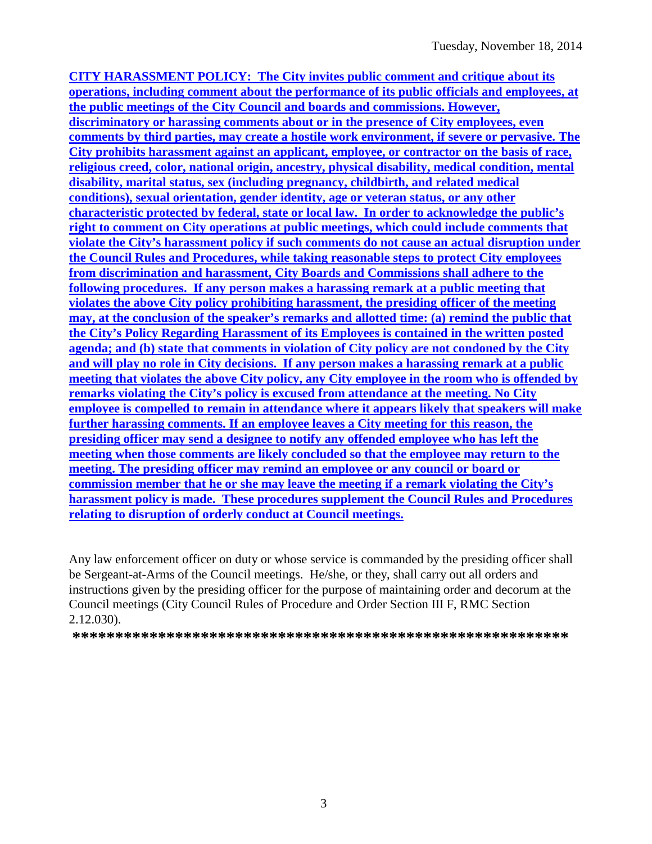**CITY HARASSMENT POLICY: The City invites public comment and critique about its operations, including comment about the performance of its public officials and employees, at the public meetings of the City Council and boards and commissions. However, discriminatory or harassing comments about or in the presence of City employees, even comments by third parties, may create a hostile work environment, if severe or pervasive. The City prohibits harassment against an applicant, employee, or contractor on the basis of race, religious creed, color, national origin, ancestry, physical disability, medical condition, mental disability, marital status, sex (including pregnancy, childbirth, and related medical conditions), sexual orientation, gender identity, age or veteran status, or any other characteristic protected by federal, state or local law. In order to acknowledge the public's right to comment on City operations at public meetings, which could include comments that violate the City's harassment policy if such comments do not cause an actual disruption under the Council Rules and Procedures, while taking reasonable steps to protect City employees from discrimination and harassment, City Boards and Commissions shall adhere to the following procedures. If any person makes a harassing remark at a public meeting that violates the above City policy prohibiting harassment, the presiding officer of the meeting may, at the conclusion of the speaker's remarks and allotted time: (a) remind the public that the City's Policy Regarding Harassment of its Employees is contained in the written posted agenda; and (b) state that comments in violation of City policy are not condoned by the City and will play no role in City decisions. If any person makes a harassing remark at a public meeting that violates the above City policy, any City employee in the room who is offended by remarks violating the City's policy is excused from attendance at the meeting. No City employee is compelled to remain in attendance where it appears likely that speakers will make further harassing comments. If an employee leaves a City meeting for this reason, the presiding officer may send a designee to notify any offended employee who has left the meeting when those comments are likely concluded so that the employee may return to the meeting. The presiding officer may remind an employee or any council or board or commission member that he or she may leave the meeting if a remark violating the City's harassment policy is made. These procedures supplement the Council Rules and Procedures relating to disruption of orderly conduct at Council meetings.**

Any law enforcement officer on duty or whose service is commanded by the presiding officer shall be Sergeant-at-Arms of the Council meetings. He/she, or they, shall carry out all orders and instructions given by the presiding officer for the purpose of maintaining order and decorum at the Council meetings (City Council Rules of Procedure and Order Section III F, RMC Section 2.12.030).

**\*\*\*\*\*\*\*\*\*\*\*\*\*\*\*\*\*\*\*\*\*\*\*\*\*\*\*\*\*\*\*\*\*\*\*\*\*\*\*\*\*\*\*\*\*\*\*\*\*\*\*\*\*\*\*\*\*\***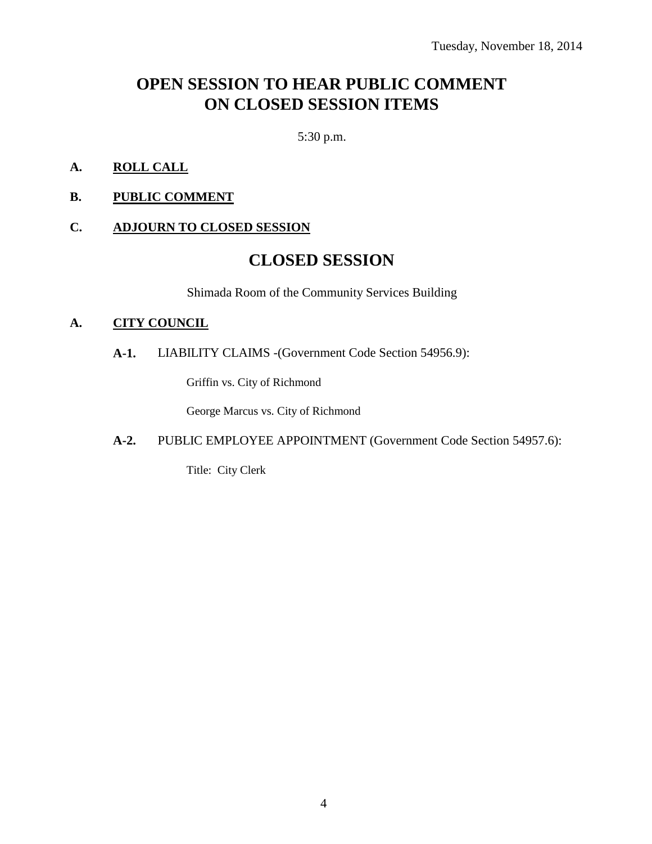# **OPEN SESSION TO HEAR PUBLIC COMMENT ON CLOSED SESSION ITEMS**

5:30 p.m.

- **A. ROLL CALL**
- **B. PUBLIC COMMENT**

#### **C. ADJOURN TO CLOSED SESSION**

# **CLOSED SESSION**

Shimada Room of the Community Services Building

#### **A. CITY COUNCIL**

## **A-1.** LIABILITY CLAIMS -(Government Code Section 54956.9):

Griffin vs. City of Richmond

George Marcus vs. City of Richmond

## **A-2.** PUBLIC EMPLOYEE APPOINTMENT (Government Code Section 54957.6):

Title: City Clerk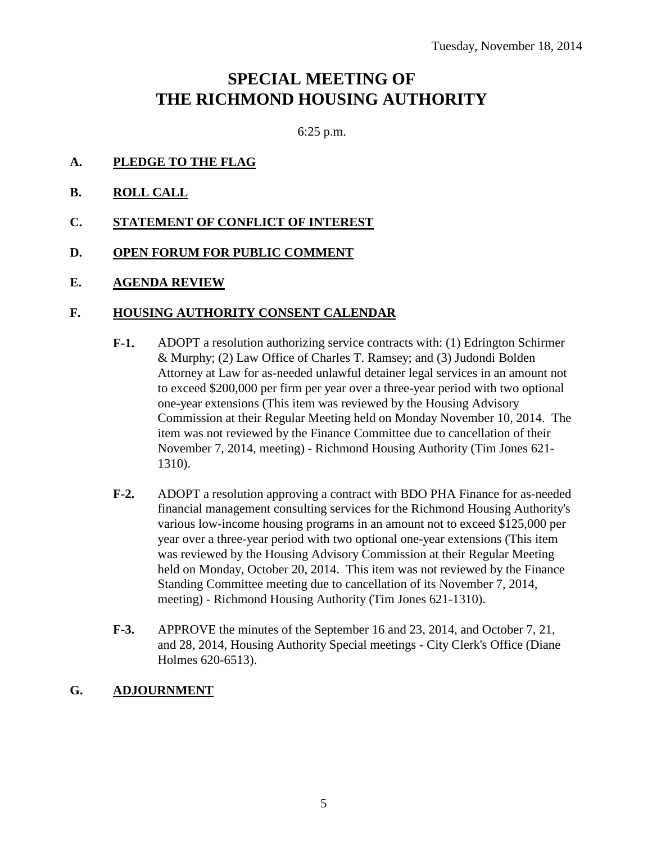# **SPECIAL MEETING OF THE RICHMOND HOUSING AUTHORITY**

6:25 p.m.

- **A. PLEDGE TO THE FLAG**
- **B. ROLL CALL**
- **C. STATEMENT OF CONFLICT OF INTEREST**
- **D. OPEN FORUM FOR PUBLIC COMMENT**
- **E. AGENDA REVIEW**

#### **F. HOUSING AUTHORITY CONSENT CALENDAR**

- **F-1.** ADOPT a resolution authorizing service contracts with: (1) Edrington Schirmer & Murphy; (2) Law Office of Charles T. Ramsey; and (3) Judondi Bolden Attorney at Law for as-needed unlawful detainer legal services in an amount not to exceed \$200,000 per firm per year over a three-year period with two optional one-year extensions (This item was reviewed by the Housing Advisory Commission at their Regular Meeting held on Monday November 10, 2014. The item was not reviewed by the Finance Committee due to cancellation of their November 7, 2014, meeting) - Richmond Housing Authority (Tim Jones 621- 1310).
- **F-2.** ADOPT a resolution approving a contract with BDO PHA Finance for as-needed financial management consulting services for the Richmond Housing Authority's various low-income housing programs in an amount not to exceed \$125,000 per year over a three-year period with two optional one-year extensions (This item was reviewed by the Housing Advisory Commission at their Regular Meeting held on Monday, October 20, 2014. This item was not reviewed by the Finance Standing Committee meeting due to cancellation of its November 7, 2014, meeting) - Richmond Housing Authority (Tim Jones 621-1310).
- **F-3.** APPROVE the minutes of the September 16 and 23, 2014, and October 7, 21, and 28, 2014, Housing Authority Special meetings - City Clerk's Office (Diane Holmes 620-6513).

## **G. ADJOURNMENT**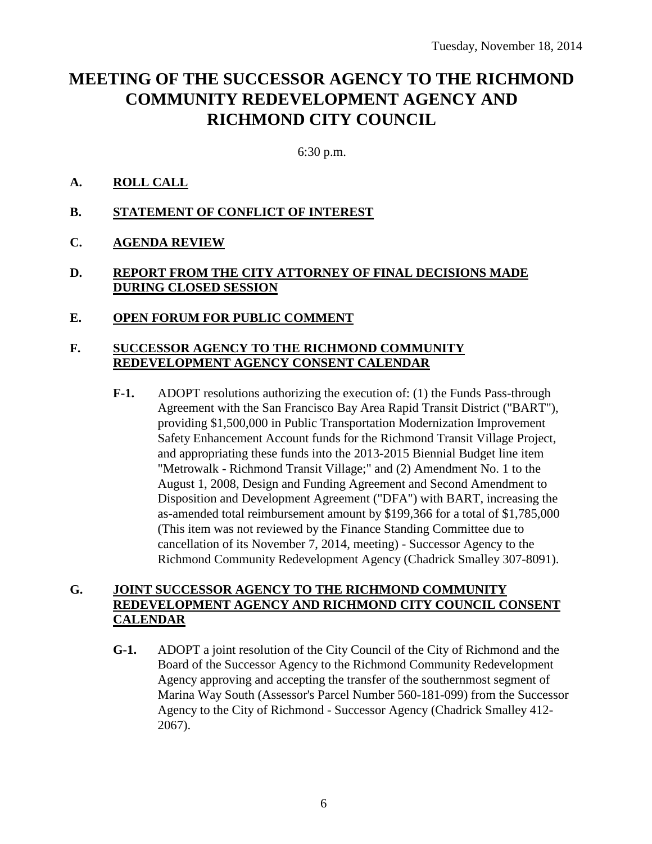# **MEETING OF THE SUCCESSOR AGENCY TO THE RICHMOND COMMUNITY REDEVELOPMENT AGENCY AND RICHMOND CITY COUNCIL**

6:30 p.m.

## **A. ROLL CALL**

- **B. STATEMENT OF CONFLICT OF INTEREST**
- **C. AGENDA REVIEW**

#### **D. REPORT FROM THE CITY ATTORNEY OF FINAL DECISIONS MADE DURING CLOSED SESSION**

**E. OPEN FORUM FOR PUBLIC COMMENT**

#### **F. SUCCESSOR AGENCY TO THE RICHMOND COMMUNITY REDEVELOPMENT AGENCY CONSENT CALENDAR**

**F-1.** ADOPT resolutions authorizing the execution of: (1) the Funds Pass-through Agreement with the San Francisco Bay Area Rapid Transit District ("BART"), providing \$1,500,000 in Public Transportation Modernization Improvement Safety Enhancement Account funds for the Richmond Transit Village Project, and appropriating these funds into the 2013-2015 Biennial Budget line item "Metrowalk - Richmond Transit Village;" and (2) Amendment No. 1 to the August 1, 2008, Design and Funding Agreement and Second Amendment to Disposition and Development Agreement ("DFA") with BART, increasing the as-amended total reimbursement amount by \$199,366 for a total of \$1,785,000 (This item was not reviewed by the Finance Standing Committee due to cancellation of its November 7, 2014, meeting) - Successor Agency to the Richmond Community Redevelopment Agency (Chadrick Smalley 307-8091).

#### **G. JOINT SUCCESSOR AGENCY TO THE RICHMOND COMMUNITY REDEVELOPMENT AGENCY AND RICHMOND CITY COUNCIL CONSENT CALENDAR**

**G-1.** ADOPT a joint resolution of the City Council of the City of Richmond and the Board of the Successor Agency to the Richmond Community Redevelopment Agency approving and accepting the transfer of the southernmost segment of Marina Way South (Assessor's Parcel Number 560-181-099) from the Successor Agency to the City of Richmond - Successor Agency (Chadrick Smalley 412- 2067).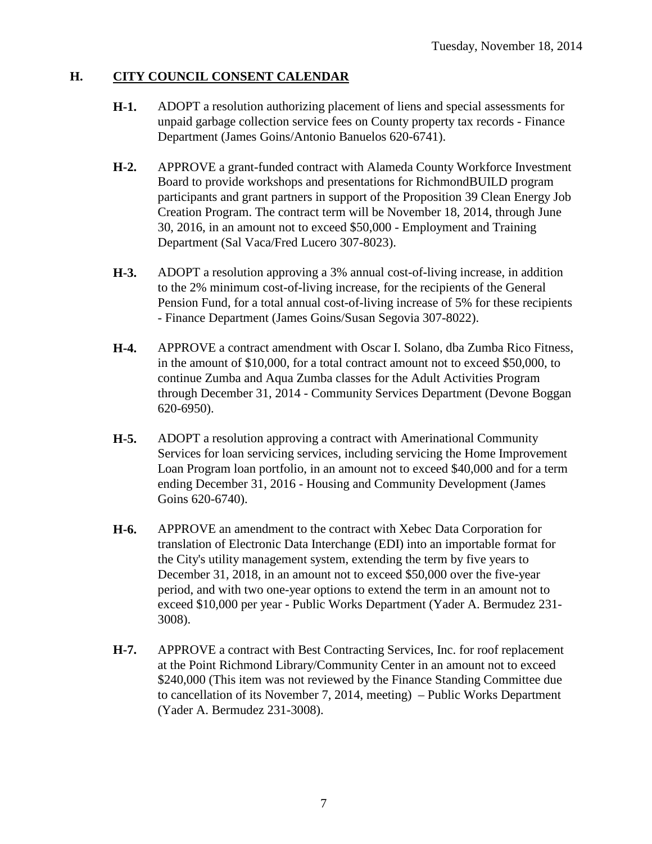## **H. CITY COUNCIL CONSENT CALENDAR**

- **H-1.** ADOPT a resolution authorizing placement of liens and special assessments for unpaid garbage collection service fees on County property tax records - Finance Department (James Goins/Antonio Banuelos 620-6741).
- **H-2.** APPROVE a grant-funded contract with Alameda County Workforce Investment Board to provide workshops and presentations for RichmondBUILD program participants and grant partners in support of the Proposition 39 Clean Energy Job Creation Program. The contract term will be November 18, 2014, through June 30, 2016, in an amount not to exceed \$50,000 - Employment and Training Department (Sal Vaca/Fred Lucero 307-8023).
- **H-3.** ADOPT a resolution approving a 3% annual cost-of-living increase, in addition to the 2% minimum cost-of-living increase, for the recipients of the General Pension Fund, for a total annual cost-of-living increase of 5% for these recipients - Finance Department (James Goins/Susan Segovia 307-8022).
- **H-4.** APPROVE a contract amendment with Oscar I. Solano, dba Zumba Rico Fitness, in the amount of \$10,000, for a total contract amount not to exceed \$50,000, to continue Zumba and Aqua Zumba classes for the Adult Activities Program through December 31, 2014 - Community Services Department (Devone Boggan 620-6950).
- **H-5.** ADOPT a resolution approving a contract with Amerinational Community Services for loan servicing services, including servicing the Home Improvement Loan Program loan portfolio, in an amount not to exceed \$40,000 and for a term ending December 31, 2016 - Housing and Community Development (James Goins 620-6740).
- **H-6.** APPROVE an amendment to the contract with Xebec Data Corporation for translation of Electronic Data Interchange (EDI) into an importable format for the City's utility management system, extending the term by five years to December 31, 2018, in an amount not to exceed \$50,000 over the five-year period, and with two one-year options to extend the term in an amount not to exceed \$10,000 per year - Public Works Department (Yader A. Bermudez 231- 3008).
- **H-7.** APPROVE a contract with Best Contracting Services, Inc. for roof replacement at the Point Richmond Library/Community Center in an amount not to exceed \$240,000 (This item was not reviewed by the Finance Standing Committee due to cancellation of its November 7, 2014, meeting) – Public Works Department (Yader A. Bermudez 231-3008).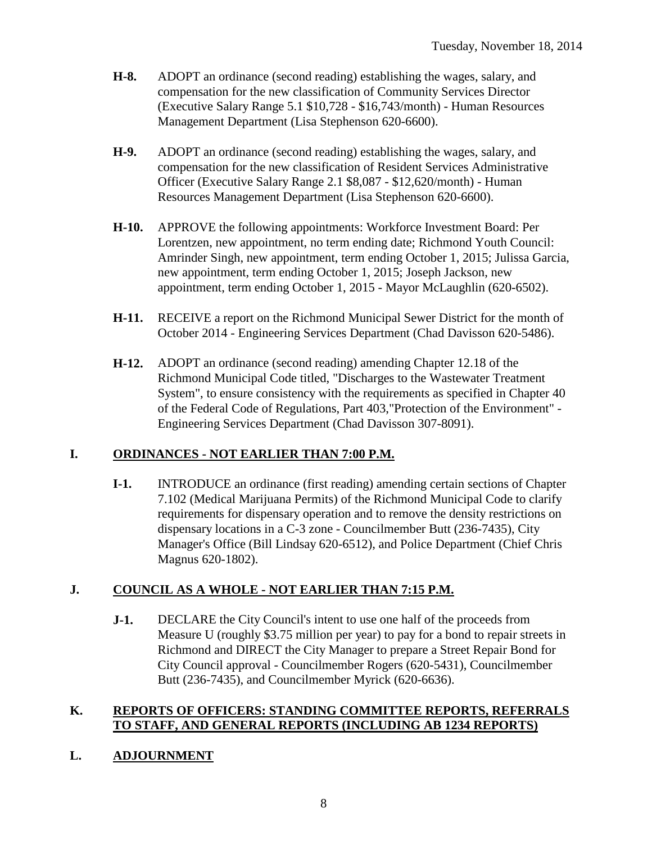- **H-8.** ADOPT an ordinance (second reading) establishing the wages, salary, and compensation for the new classification of Community Services Director (Executive Salary Range 5.1 \$10,728 - \$16,743/month) - Human Resources Management Department (Lisa Stephenson 620-6600).
- **H-9.** ADOPT an ordinance (second reading) establishing the wages, salary, and compensation for the new classification of Resident Services Administrative Officer (Executive Salary Range 2.1 \$8,087 - \$12,620/month) - Human Resources Management Department (Lisa Stephenson 620-6600).
- **H-10.** APPROVE the following appointments: Workforce Investment Board: Per Lorentzen, new appointment, no term ending date; Richmond Youth Council: Amrinder Singh, new appointment, term ending October 1, 2015; Julissa Garcia, new appointment, term ending October 1, 2015; Joseph Jackson, new appointment, term ending October 1, 2015 - Mayor McLaughlin (620-6502).
- **H-11.** RECEIVE a report on the Richmond Municipal Sewer District for the month of October 2014 - Engineering Services Department (Chad Davisson 620-5486).
- **H-12.** ADOPT an ordinance (second reading) amending Chapter 12.18 of the Richmond Municipal Code titled, "Discharges to the Wastewater Treatment System", to ensure consistency with the requirements as specified in Chapter 40 of the Federal Code of Regulations, Part 403,"Protection of the Environment" - Engineering Services Department (Chad Davisson 307-8091).

## **I. ORDINANCES - NOT EARLIER THAN 7:00 P.M.**

**I-1.** INTRODUCE an ordinance (first reading) amending certain sections of Chapter 7.102 (Medical Marijuana Permits) of the Richmond Municipal Code to clarify requirements for dispensary operation and to remove the density restrictions on dispensary locations in a C-3 zone - Councilmember Butt (236-7435), City Manager's Office (Bill Lindsay 620-6512), and Police Department (Chief Chris Magnus 620-1802).

## **J. COUNCIL AS A WHOLE - NOT EARLIER THAN 7:15 P.M.**

**J-1.** DECLARE the City Council's intent to use one half of the proceeds from Measure U (roughly \$3.75 million per year) to pay for a bond to repair streets in Richmond and DIRECT the City Manager to prepare a Street Repair Bond for City Council approval - Councilmember Rogers (620-5431), Councilmember Butt (236-7435), and Councilmember Myrick (620-6636).

#### **K. REPORTS OF OFFICERS: STANDING COMMITTEE REPORTS, REFERRALS TO STAFF, AND GENERAL REPORTS (INCLUDING AB 1234 REPORTS)**

## **L. ADJOURNMENT**